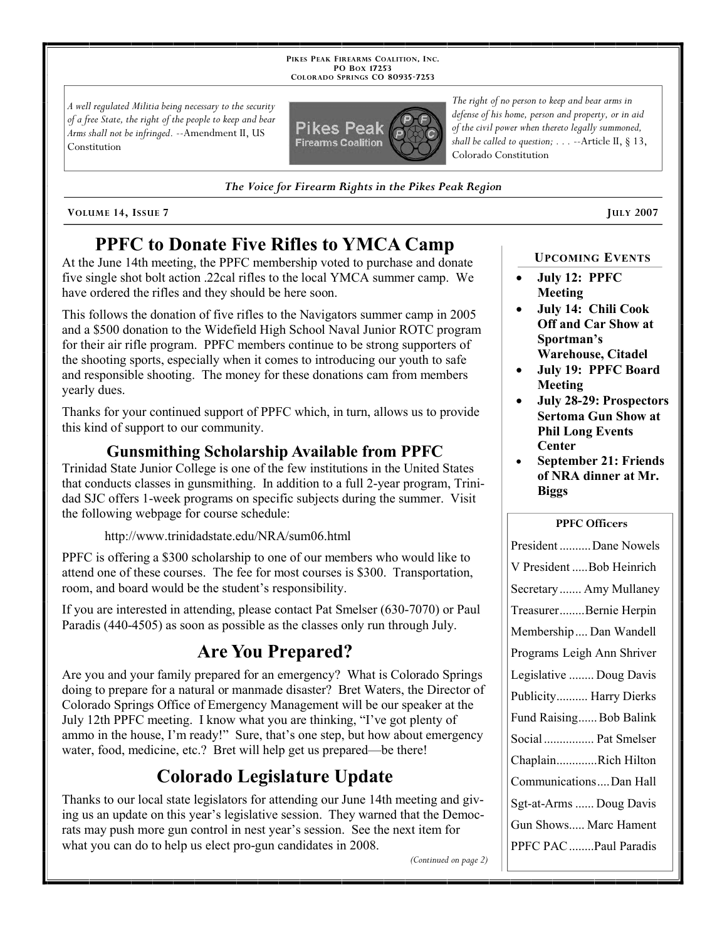**PIKES PEAK FIREARMS COALITION, INC. PO BOX 17253 COLORADO SPRINGS CO 80935 -7253**

*A well regulated Militia being necessary to the security of a free State, the right of the people to keep and bear Arms shall not be infringed.* --Amendment II, US Constitution



*The Voice for Firearm Rights in the Pikes Peak Region*

**VOLUME** 14, ISSUE 7 **JULY** 2007

# **PPFC to Donate Five Rifles to YMCA Camp**

At the June 14th meeting, the PPFC membership voted to purchase and donate five single shot bolt action .22cal rifles to the local YMCA summer camp. We have ordered the rifles and they should be here soon.

This follows the donation of five rifles to the Navigators summer camp in 2005 and a \$500 donation to the Widefield High School Naval Junior ROTC program for their air rifle program. PPFC members continue to be strong supporters of the shooting sports, especially when it comes to introducing our youth to safe and responsible shooting. The money for these donations cam from members yearly dues.

Thanks for your continued support of PPFC which, in turn, allows us to provide this kind of support to our community.

#### **Gunsmithing Scholarship Available from PPFC**

Trinidad State Junior College is one of the few institutions in the United States that conducts classes in gunsmithing. In addition to a full 2-year program, Trinidad SJC offers 1-week programs on specific subjects during the summer. Visit the following webpage for course schedule:

http://www.trinidadstate.edu/NRA/sum06.html

PPFC is offering a \$300 scholarship to one of our members who would like to attend one of these courses. The fee for most courses is \$300. Transportation, room, and board would be the student's responsibility.

If you are interested in attending, please contact Pat Smelser (630-7070) or Paul Paradis (440-4505) as soon as possible as the classes only run through July.

# **Are You Prepared?**

Are you and your family prepared for an emergency? What is Colorado Springs doing to prepare for a natural or manmade disaster? Bret Waters, the Director of Colorado Springs Office of Emergency Management will be our speaker at the July 12th PPFC meeting. I know what you are thinking, "I've got plenty of ammo in the house, I'm ready!" Sure, that's one step, but how about emergency water, food, medicine, etc.? Bret will help get us prepared—be there!

# **Colorado Legislature Update**

Thanks to our local state legislators for attending our June 14th meeting and giving us an update on this year's legislative session. They warned that the Democrats may push more gun control in nest year's session. See the next item for what you can do to help us elect pro-gun candidates in 2008.

*The right of no person to keep and bear arms in defense of his home, person and property, or in aid of the civil power when thereto legally summoned, shall be called to question; . . .* --Article II, § 13, Colorado Constitution

**UPCOMING EVENTS**

- **July 12: PPFC Meeting**
- **July 14: Chili Cook Off and Car Show at Sportman's Warehouse, Citadel**
- **July 19: PPFC Board Meeting**
- **July 28-29: Prospectors Sertoma Gun Show at Phil Long Events Center**
- **September 21: Friends of NRA dinner at Mr. Biggs**

#### **PPFC Officers**

*(Continued on page 2)*